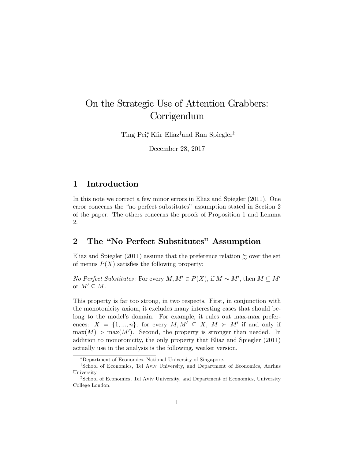# On the Strategic Use of Attention Grabbers: **Corrigendum**

Ting Pei<sup>\*</sup>, Kfir Eliaz<sup>†</sup>and Ran Spiegler<sup>‡</sup>

December 28, 2017

#### 1 Introduction

In this note we correct a few minor errors in Eliaz and Spiegler (2011). One error concerns the "no perfect substitutes" assumption stated in Section 2 of the paper. The others concerns the proofs of Proposition 1 and Lemma 2.

## 2 The "No Perfect Substitutes" Assumption

Eliaz and Spiegler (2011) assume that the preference relation  $\succsim$  over the set of menus  $P(X)$  satisfies the following property:

*No Perfect Substitutes:* For every  $M, M' \in P(X)$ , if  $M \sim M'$ , then  $M \subseteq M'$ or  $M' \subseteq M$ .

This property is far too strong, in two respects. First, in conjunction with the monotonicity axiom, it excludes many interesting cases that should belong to the model's domain. For example, it rules out max-max preferences:  $X = \{1, ..., n\}$ ; for every  $M, M' \subseteq X$ ,  $M \succ M'$  if and only if  $\max(M) > \max(M')$ . Second, the property is stronger than needed. In addition to monotonicity, the only property that Eliaz and Spiegler (2011) actually use in the analysis is the following, weaker version.

Department of Economics, National University of Singapore.

<sup>&</sup>lt;sup>†</sup>School of Economics, Tel Aviv University, and Department of Economics, Aarhus University.

<sup>&</sup>lt;sup>‡</sup>School of Economics, Tel Aviv University, and Department of Economics, University College London.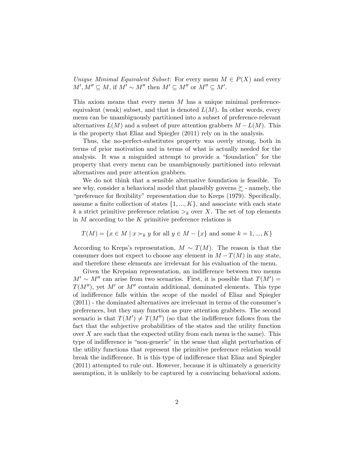Unique Minimal Equivalent Subset: For every menu  $M \in P(X)$  and every  $M', M'' \subseteq M$ , if  $M' \sim M''$  then  $M' \subseteq M''$  or  $M'' \subseteq M'$ .

This axiom means that every menu  $M$  has a unique minimal preferenceequivalent (weak) subset, and that is denoted  $L(M)$ . In other words, every menu can be unambiguously partitioned into a subset of preference-relevant alternatives  $L(M)$  and a subset of pure attention grabbers  $M - L(M)$ . This is the property that Eliaz and Spiegler (2011) rely on in the analysis.

Thus, the no-perfect-substitutes property was overly strong, both in terms of prior motivation and in terms of what is actually needed for the analysis. It was a misguided attempt to provide a "foundation" for the property that every menu can be unambiguously partitioned into relevant alternatives and pure attention grabbers.

We do not think that a sensible alternative foundation is feasible. To see why, consider a behavioral model that plausibly governs  $\succeq$  - namely, the <sup>"</sup>preference for flexibility" representation due to Kreps (1979). Specifically, assume a finite collection of states  $\{1, ..., K\}$ , and associate with each state k a strict primitive preference relation  $\gt_k$  over X. The set of top elements in  $M$  according to the  $K$  primitive preference relations is

$$
T(M) = \{ x \in M \mid x \succ_k y \text{ for all } y \in M - \{x\} \text{ and some } k = 1, ..., K \}
$$

According to Kreps's representation,  $M \sim T(M)$ . The reason is that the consumer does not expect to choose any element in  $M-T(M)$  in any state, and therefore these elements are irrelevant for his evaluation of the menu.

Given the Krepsian representation, an indifference between two menus  $M' \sim M''$  can arise from two scenarios. First, it is possible that  $T(M') =$  $T(M'')$ , yet M' or M'' contain additional, dominated elements. This type of indifference falls within the scope of the model of Eliaz and Spiegler  $(2011)$  - the dominated alternatives are irrelevant in terms of the consumer's preferences, but they may function as pure attention grabbers. The second scenario is that  $T(M') \neq T(M'')$  (so that the indifference follows from the fact that the subjective probabilities of the states and the utility function over  $X$  are such that the expected utility from each menu is the same). This type of indifference is "non-generic" in the sense that slight perturbation of the utility functions that represent the primitive preference relation would break the indifference. It is this type of indifference that Eliaz and Spiegler (2011) attempted to rule out. However, because it is ultimately a genericity assumption, it is unlikely to be captured by a convincing behavioral axiom.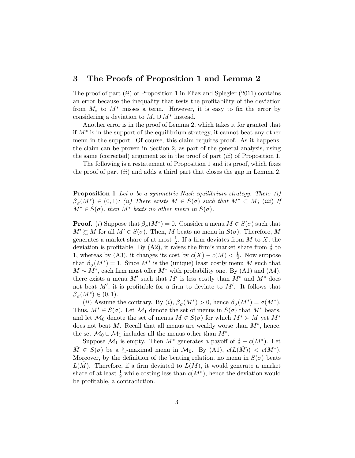#### 3 The Proofs of Proposition 1 and Lemma 2

The proof of part  $(ii)$  of Proposition 1 in Eliaz and Spiegler  $(2011)$  contains an error because the inequality that tests the profitability of the deviation from  $M_*$  to  $M^*$  misses a term. However, it is easy to fix the error by considering a deviation to  $M_* \cup M^*$  instead.

Another error is in the proof of Lemma 2, which takes it for granted that if  $M^*$  is in the support of the equilibrium strategy, it cannot beat any other menu in the support. Of course, this claim requires proof. As it happens, the claim can be proven in Section 2, as part of the general analysis, using the same (corrected) argument as in the proof of part  $(ii)$  of Proposition 1.

The following is a restatement of Proposition 1 and its proof, which fixes the proof of part  $(ii)$  and adds a third part that closes the gap in Lemma 2.

**Proposition 1** Let  $\sigma$  be a symmetric Nash equilibrium strategy. Then: (i)  $\beta_{\sigma}(M^*) \in (0,1)$ ; (ii) There exists  $M \in S(\sigma)$  such that  $M^* \subset M$ ; (iii) If  $M^* \in S(\sigma)$ , then  $M^*$  beats no other menu in  $S(\sigma)$ .

**Proof.** (i) Suppose that  $\beta_{\sigma}(M^*) = 0$ . Consider a menu  $M \in S(\sigma)$  such that  $M' \succeq M$  for all  $M' \in S(\sigma)$ . Then, M beats no menu in  $S(\sigma)$ . Therefore, M generates a market share of at most  $\frac{1}{2}$ . If a firm deviates from M to X, the deviation is profitable. By (A2), it raises the firm's market share from  $\frac{1}{2}$  to 1, whereas by (A3), it changes its cost by  $c(X) - c(M) < \frac{1}{2}$  $\frac{1}{2}$ . Now suppose that  $\beta_{\sigma}(M^*) = 1$ . Since  $M^*$  is the (unique) least costly menu M such that  $M \sim M^*$ , each firm must offer  $M^*$  with probability one. By (A1) and (A4), there exists a menu M' such that M' is less costly than  $M^*$  and  $M^*$  does not beat  $M'$ , it is profitable for a firm to deviate to  $M'$ . It follows that  $\beta_{\sigma}(M^*) \in (0,1).$ 

(*ii*) Assume the contrary. By (*i*),  $\beta_{\sigma}(M^*) > 0$ , hence  $\beta_{\sigma}(M^*) = \sigma(M^*)$ . Thus,  $M^* \in S(\sigma)$ . Let  $\mathcal{M}_1$  denote the set of menus in  $S(\sigma)$  that  $M^*$  beats, and let  $\mathcal{M}_0$  denote the set of menus  $M \in S(\sigma)$  for which  $M^* \succ M$  yet  $M^*$ does not beat M. Recall that all menus are weakly worse than  $M^*$ , hence, the set  $\mathcal{M}_0 \cup \mathcal{M}_1$  includes all the menus other than  $M^*$ .

Suppose  $\mathcal{M}_1$  is empty. Then  $M^*$  generates a payoff of  $\frac{1}{2} - c(M^*)$ . Let  $\tilde{M} \in S(\sigma)$  be a  $\succsim$ -maximal menu in  $\mathcal{M}_0$ . By (A1),  $c(L(\tilde{M})) < c(M^*)$ . Moreover, by the definition of the beating relation, no menu in  $S(\sigma)$  beats  $L(M)$ . Therefore, if a firm deviated to  $L(M)$ , it would generate a market share of at least  $\frac{1}{2}$  while costing less than  $c(M^*)$ , hence the deviation would be profitable, a contradiction.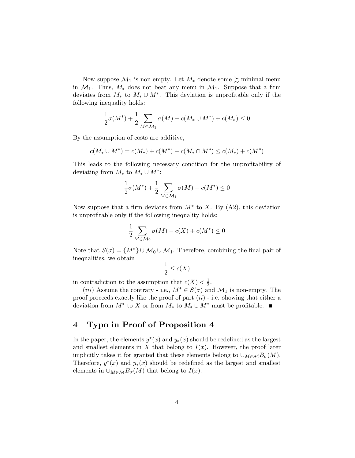Now suppose  $\mathcal{M}_1$  is non-empty. Let  $M_*$  denote some  $\succsim$ -minimal menu in  $\mathcal{M}_1$ . Thus,  $M_*$  does not beat any menu in  $\mathcal{M}_1$ . Suppose that a firm deviates from  $M_*$  to  $M_* \cup M^*$ . This deviation is unprofitable only if the following inequality holds:

$$
\frac{1}{2}\sigma(M^*) + \frac{1}{2}\sum_{M \in \mathcal{M}_1} \sigma(M) - c(M_* \cup M^*) + c(M_*) \le 0
$$

By the assumption of costs are additive,

$$
c(M_* \cup M^*) = c(M_*) + c(M^*) - c(M_* \cap M^*) \leq c(M_*) + c(M^*)
$$

This leads to the following necessary condition for the unprofitability of deviating from  $M_*$  to  $M_* \cup M^*$ :

$$
\frac{1}{2}\sigma(M^*) + \frac{1}{2}\sum_{M \in \mathcal{M}_1} \sigma(M) - c(M^*) \le 0
$$

Now suppose that a firm deviates from  $M^*$  to X. By (A2), this deviation is unprofitable only if the following inequality holds:

$$
\frac{1}{2} \sum_{M \in \mathcal{M}_0} \sigma(M) - c(X) + c(M^*) \le 0
$$

Note that  $S(\sigma) = \{M^*\}\cup \mathcal{M}_0 \cup \mathcal{M}_1$ . Therefore, combining the final pair of inequalities, we obtain

$$
\frac{1}{2} \le c(X)
$$

in contradiction to the assumption that  $c(X) < \frac{1}{2}$  $rac{1}{2}$ .

(*iii*) Assume the contrary - i.e.,  $M^* \in S(\sigma)$  and  $\mathcal{M}_1$  is non-empty. The proof proceeds exactly like the proof of part  $(ii)$  - i.e. showing that either a deviation from  $M^*$  to X or from  $M_*$  to  $M_* \cup M^*$  must be profitable.

## 4 Typo in Proof of Proposition 4

In the paper, the elements  $y^*(x)$  and  $y_*(x)$  should be redefined as the largest and smallest elements in X that belong to  $I(x)$ . However, the proof later implicitly takes it for granted that these elements belong to  $\cup_{M\in\mathcal{M}}B_{\sigma}(M)$ . Therefore,  $y^*(x)$  and  $y_*(x)$  should be redefined as the largest and smallest elements in  $\cup_{M\in\mathcal{M}}B_{\sigma}(M)$  that belong to  $I(x)$ .